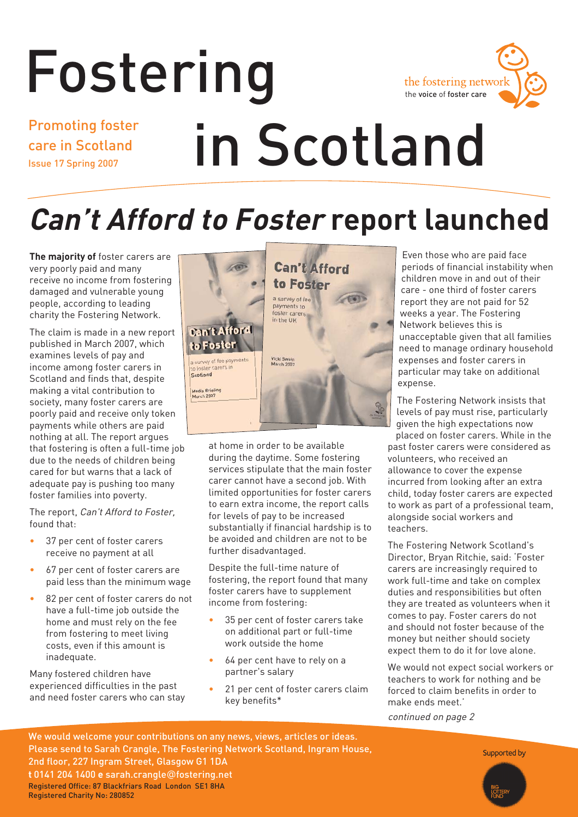# Fostering



Promoting foster care in Scotland Issue 17 Spring 2007

# in Scotland

# **Can't Afford to Foster report launched**

**The majority of** foster carers are very poorly paid and many receive no income from fostering damaged and vulnerable young people, according to leading charity the Fostering Network.

The claim is made in a new report published in March 2007, which examines levels of pay and income among foster carers in Scotland and finds that, despite making a vital contribution to society, many foster carers are poorly paid and receive only token payments while others are paid nothing at all. The report argues that fostering is often a full-time job due to the needs of children being cared for but warns that a lack of adequate pay is pushing too many foster families into poverty.

The report, Can't Afford to Foster, found that:

- 37 per cent of foster carers receive no payment at all
- 67 per cent of foster carers are paid less than the minimum wage
- 82 per cent of foster carers do not have a full-time job outside the home and must rely on the fee from fostering to meet living costs, even if this amount is inadequate.

Many fostered children have experienced difficulties in the past and need foster carers who can stay



at home in order to be available during the daytime. Some fostering services stipulate that the main foster carer cannot have a second job. With limited opportunities for foster carers to earn extra income, the report calls for levels of pay to be increased substantially if financial hardship is to be avoided and children are not to be further disadvantaged.

Despite the full-time nature of fostering, the report found that many foster carers have to supplement income from fostering:

- 35 per cent of foster carers take on additional part or full-time work outside the home
- 64 per cent have to rely on a partner's salary
- 21 per cent of foster carers claim key benefits\*

Even those who are paid face periods of financial instability when children move in and out of their care - one third of foster carers report they are not paid for 52 weeks a year. The Fostering Network believes this is unacceptable given that all families need to manage ordinary household expenses and foster carers in particular may take on additional expense.

The Fostering Network insists that levels of pay must rise, particularly given the high expectations now

placed on foster carers. While in the past foster carers were considered as volunteers, who received an allowance to cover the expense incurred from looking after an extra child, today foster carers are expected to work as part of a professional team, alongside social workers and teachers.

The Fostering Network Scotland's Director, Bryan Ritchie, said: 'Foster carers are increasingly required to work full-time and take on complex duties and responsibilities but often they are treated as volunteers when it comes to pay. Foster carers do not and should not foster because of the money but neither should society expect them to do it for love alone.

We would not expect social workers or teachers to work for nothing and be forced to claim benefits in order to make ends meet.'

continued on page 2

We would welcome your contributions on any news, views, articles or ideas. Please send to Sarah Crangle, The Fostering Network Scotland, Ingram House, 2nd floor, 227 Ingram Street, Glasgow G1 1DA **t** 0141 204 1400 **e** sarah.crangle@fostering.net Registered Office: 87 Blackfriars Road London SE1 8HA Registered Charity No: 280852

Supported by

Fostering in Scotland **1**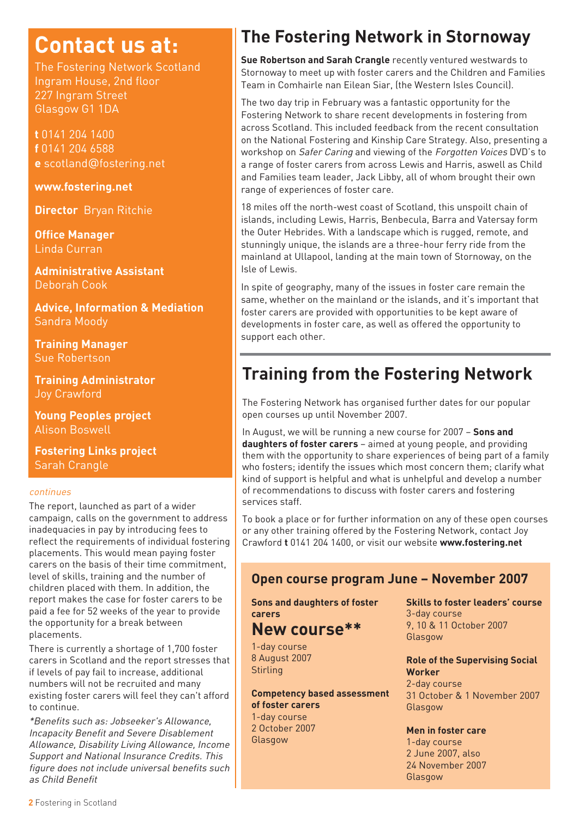# **Contact us at:**

The Fostering Network Scotland Ingram House, 2nd floor 227 Ingram Street Glasgow G1 1DA

**t** 0141 204 1400 **f** 0141 204 6588 **e** scotland@fostering.net

#### **www.fostering.net**

**Director** Bryan Ritchie

**Office Manager** Linda Curran

**Administrative Assistant**  Deborah Cook

**Advice, Information & Mediation**  Sandra Moody

**Training Manager** Sue Robertson

**Training Administrator**  Joy Crawford

**Young Peoples project** Alison Boswell

**Fostering Links project** Sarah Crangle

#### continues

The report, launched as part of a wider campaign, calls on the government to address inadequacies in pay by introducing fees to reflect the requirements of individual fostering placements. This would mean paying foster carers on the basis of their time commitment, level of skills, training and the number of children placed with them. In addition, the report makes the case for foster carers to be paid a fee for 52 weeks of the year to provide the opportunity for a break between placements.

There is currently a shortage of 1,700 foster carers in Scotland and the report stresses that if levels of pay fail to increase, additional numbers will not be recruited and many existing foster carers will feel they can't afford to continue.

\*Benefits such as: Jobseeker's Allowance, Incapacity Benefit and Severe Disablement Allowance, Disability Living Allowance, Income Support and National Insurance Credits. This figure does not include universal benefits such as Child Benefit

# **The Fostering Network in Stornoway**

**Sue Robertson and Sarah Crangle** recently ventured westwards to Stornoway to meet up with foster carers and the Children and Families Team in Comhairle nan Eilean Siar, (the Western Isles Council).

The two day trip in February was a fantastic opportunity for the Fostering Network to share recent developments in fostering from across Scotland. This included feedback from the recent consultation on the National Fostering and Kinship Care Strategy. Also, presenting a workshop on Safer Caring and viewing of the Forgotten Voices DVD's to a range of foster carers from across Lewis and Harris, aswell as Child and Families team leader, Jack Libby, all of whom brought their own range of experiences of foster care.

18 miles off the north-west coast of Scotland, this unspoilt chain of islands, including Lewis, Harris, Benbecula, Barra and Vatersay form the Outer Hebrides. With a landscape which is rugged, remote, and stunningly unique, the islands are a three-hour ferry ride from the mainland at Ullapool, landing at the main town of Stornoway, on the Isle of Lewis.

In spite of geography, many of the issues in foster care remain the same, whether on the mainland or the islands, and it's important that foster carers are provided with opportunities to be kept aware of developments in foster care, as well as offered the opportunity to support each other.

## **Training from the Fostering Network**

The Fostering Network has organised further dates for our popular open courses up until November 2007.

In August, we will be running a new course for 2007 – **Sons and daughters of foster carers** – aimed at young people, and providing them with the opportunity to share experiences of being part of a family who fosters; identify the issues which most concern them; clarify what kind of support is helpful and what is unhelpful and develop a number of recommendations to discuss with foster carers and fostering services staff.

To book a place or for further information on any of these open courses or any other training offered by the Fostering Network, contact Joy Crawford **t** 0141 204 1400, or visit our website **www.fostering.net**

#### **Open course program June – November 2007**

**Sons and daughters of foster carers**

#### **New course\*\***

1-day course 8 August 2007 **Stirling** 

#### **Competency based assessment of foster carers**

1-day course 2 October 2007 Glasgow

**Skills to foster leaders' course** 3-day course 9, 10 & 11 October 2007 Glasgow

#### **Role of the Supervising Social Worker**

2-day course 31 October & 1 November 2007 **Glasgow** 

#### **Men in foster care**

1-day course 2 June 2007, also 24 November 2007 Glasgow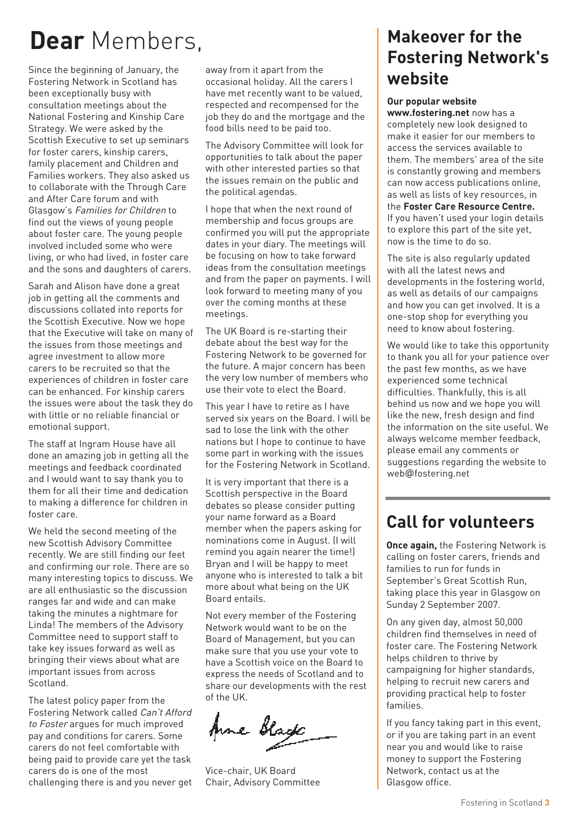# **Dear** Members,

Since the beginning of January, the Fostering Network in Scotland has been exceptionally busy with consultation meetings about the National Fostering and Kinship Care Strategy. We were asked by the Scottish Executive to set up seminars for foster carers, kinship carers, family placement and Children and Families workers. They also asked us to collaborate with the Through Care and After Care forum and with Glasgow's Families for Children to find out the views of young people about foster care. The young people involved included some who were living, or who had lived, in foster care and the sons and daughters of carers.

Sarah and Alison have done a great job in getting all the comments and discussions collated into reports for the Scottish Executive. Now we hope that the Executive will take on many of the issues from those meetings and agree investment to allow more carers to be recruited so that the experiences of children in foster care can be enhanced. For kinship carers the issues were about the task they do with little or no reliable financial or emotional support.

The staff at Ingram House have all done an amazing job in getting all the meetings and feedback coordinated and I would want to say thank you to them for all their time and dedication to making a difference for children in foster care.

We held the second meeting of the new Scottish Advisory Committee recently. We are still finding our feet and confirming our role. There are so many interesting topics to discuss. We are all enthusiastic so the discussion ranges far and wide and can make taking the minutes a nightmare for Linda! The members of the Advisory Committee need to support staff to take key issues forward as well as bringing their views about what are important issues from across Scotland.

The latest policy paper from the Fostering Network called Can't Afford to Foster argues for much improved pay and conditions for carers. Some carers do not feel comfortable with being paid to provide care yet the task carers do is one of the most challenging there is and you never get

away from it apart from the occasional holiday. All the carers I have met recently want to be valued, respected and recompensed for the job they do and the mortgage and the food bills need to be paid too.

The Advisory Committee will look for opportunities to talk about the paper with other interested parties so that the issues remain on the public and the political agendas.

I hope that when the next round of membership and focus groups are confirmed you will put the appropriate dates in your diary. The meetings will be focusing on how to take forward ideas from the consultation meetings and from the paper on payments. I will look forward to meeting many of you over the coming months at these meetings.

The UK Board is re-starting their debate about the best way for the Fostering Network to be governed for the future. A major concern has been the very low number of members who use their vote to elect the Board.

This year I have to retire as I have served six years on the Board. I will be sad to lose the link with the other nations but I hope to continue to have some part in working with the issues for the Fostering Network in Scotland.

It is very important that there is a Scottish perspective in the Board debates so please consider putting your name forward as a Board member when the papers asking for nominations come in August. (I will remind you again nearer the time!) Bryan and I will be happy to meet anyone who is interested to talk a bit more about what being on the UK Board entails.

Not every member of the Fostering Network would want to be on the Board of Management, but you can make sure that you use your vote to have a Scottish voice on the Board to express the needs of Scotland and to share our developments with the rest of the UK.

Ame black

Vice-chair, UK Board Chair, Advisory Committee

### **Makeover for the Fostering Network's website**

#### **Our popular website**

**www.fostering.net** now has a completely new look designed to make it easier for our members to access the services available to them. The members' area of the site is constantly growing and members can now access publications online, as well as lists of key resources, in the **Foster Care Resource Centre.** If you haven't used your login details to explore this part of the site yet, now is the time to do so.

The site is also regularly updated with all the latest news and developments in the fostering world, as well as details of our campaigns and how you can get involved. It is a one-stop shop for everything you need to know about fostering.

We would like to take this opportunity to thank you all for your patience over the past few months, as we have experienced some technical difficulties. Thankfully, this is all behind us now and we hope you will like the new, fresh design and find the information on the site useful. We always welcome member feedback, please email any comments or suggestions regarding the website to web@fostering.net

### **Call for volunteers**

**Once again,** the Fostering Network is calling on foster carers, friends and families to run for funds in September's Great Scottish Run, taking place this year in Glasgow on Sunday 2 September 2007.

On any given day, almost 50,000 children find themselves in need of foster care. The Fostering Network helps children to thrive by campaigning for higher standards, helping to recruit new carers and providing practical help to foster families.

If you fancy taking part in this event, or if you are taking part in an event near you and would like to raise money to support the Fostering Network, contact us at the Glasgow office.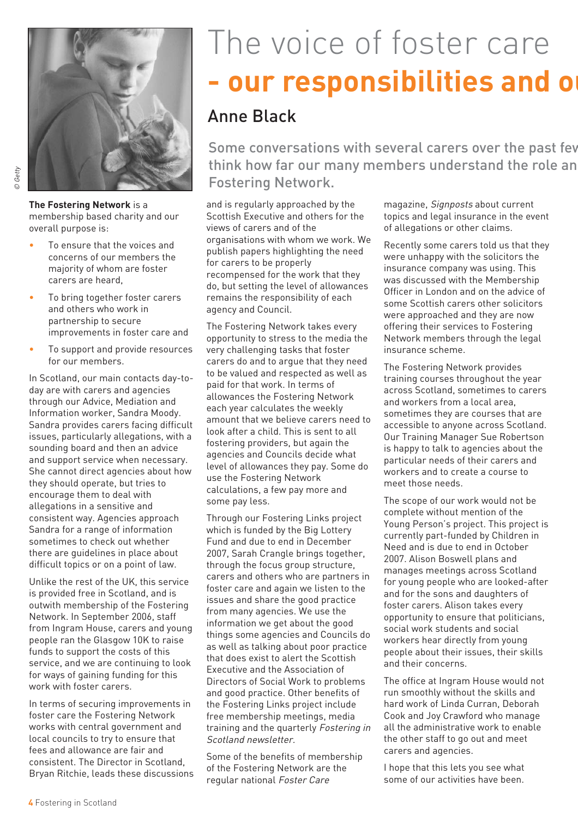

© Getty

**The Fostering Network** is a membership based charity and our overall purpose is:

- To ensure that the voices and concerns of our members the majority of whom are foster carers are heard,
- To bring together foster carers and others who work in partnership to secure improvements in foster care and
- To support and provide resources for our members.

In Scotland, our main contacts day-today are with carers and agencies through our Advice, Mediation and Information worker, Sandra Moody. Sandra provides carers facing difficult issues, particularly allegations, with a sounding board and then an advice and support service when necessary. She cannot direct agencies about how they should operate, but tries to encourage them to deal with allegations in a sensitive and consistent way. Agencies approach Sandra for a range of information sometimes to check out whether there are guidelines in place about difficult topics or on a point of law.

Unlike the rest of the UK, this service is provided free in Scotland, and is outwith membership of the Fostering Network. In September 2006, staff from Ingram House, carers and young people ran the Glasgow 10K to raise funds to support the costs of this service, and we are continuing to look for ways of gaining funding for this work with foster carers.

In terms of securing improvements in foster care the Fostering Network works with central government and local councils to try to ensure that fees and allowance are fair and consistent. The Director in Scotland, Bryan Ritchie, leads these discussions

# The voice of foster care **- our responsibilities and ou**

### Anne Black

Some conversations with several carers over the past few think how far our many members understand the role an Fostering Network.

and is regularly approached by the Scottish Executive and others for the views of carers and of the organisations with whom we work. We publish papers highlighting the need for carers to be properly recompensed for the work that they do, but setting the level of allowances remains the responsibility of each agency and Council.

The Fostering Network takes every opportunity to stress to the media the very challenging tasks that foster carers do and to argue that they need to be valued and respected as well as paid for that work. In terms of allowances the Fostering Network each year calculates the weekly amount that we believe carers need to look after a child. This is sent to all fostering providers, but again the agencies and Councils decide what level of allowances they pay. Some do use the Fostering Network calculations, a few pay more and some pay less.

Through our Fostering Links project which is funded by the Big Lottery Fund and due to end in December 2007, Sarah Crangle brings together, through the focus group structure, carers and others who are partners in foster care and again we listen to the issues and share the good practice from many agencies. We use the information we get about the good things some agencies and Councils do as well as talking about poor practice that does exist to alert the Scottish Executive and the Association of Directors of Social Work to problems and good practice. Other benefits of the Fostering Links project include free membership meetings, media training and the quarterly Fostering in Scotland newsletter.

Some of the benefits of membership of the Fostering Network are the regular national Foster Care

magazine, Signposts about current topics and legal insurance in the event of allegations or other claims.

Recently some carers told us that they were unhappy with the solicitors the insurance company was using. This was discussed with the Membership Officer in London and on the advice of some Scottish carers other solicitors were approached and they are now offering their services to Fostering Network members through the legal insurance scheme.

The Fostering Network provides training courses throughout the year across Scotland, sometimes to carers and workers from a local area, sometimes they are courses that are accessible to anyone across Scotland. Our Training Manager Sue Robertson is happy to talk to agencies about the particular needs of their carers and workers and to create a course to meet those needs.

The scope of our work would not be complete without mention of the Young Person's project. This project is currently part-funded by Children in Need and is due to end in October 2007. Alison Boswell plans and manages meetings across Scotland for young people who are looked-after and for the sons and daughters of foster carers. Alison takes every opportunity to ensure that politicians, social work students and social workers hear directly from young people about their issues, their skills and their concerns.

The office at Ingram House would not run smoothly without the skills and hard work of Linda Curran, Deborah Cook and Joy Crawford who manage all the administrative work to enable the other staff to go out and meet carers and agencies.

I hope that this lets you see what some of our activities have been.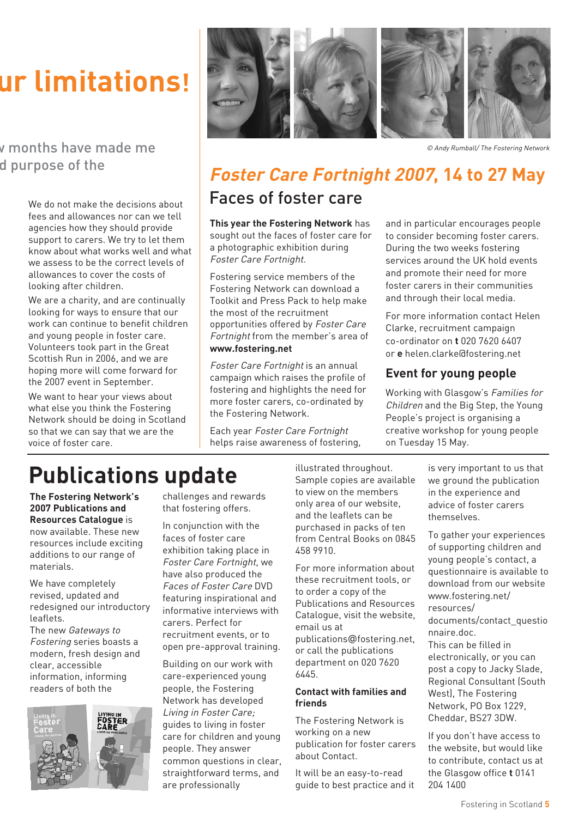# **ur limitations!**

#### w months have made me d purpose of the

We do not make the decisions about fees and allowances nor can we tell agencies how they should provide support to carers. We try to let them know about what works well and what we assess to be the correct levels of allowances to cover the costs of looking after children.

We are a charity, and are continually looking for ways to ensure that our work can continue to benefit children and young people in foster care. Volunteers took part in the Great Scottish Run in 2006, and we are hoping more will come forward for the 2007 event in September.

We want to hear your views about what else you think the Fostering Network should be doing in Scotland so that we can say that we are the voice of foster care.



<sup>©</sup> Andy Rumball/ The Fostering Network

## **Foster Care Fortnight 2007, 14 to 27 May**

#### Faces of foster care

**This year the Fostering Network** has sought out the faces of foster care for a photographic exhibition during Foster Care Fortnight.

Fostering service members of the Fostering Network can download a Toolkit and Press Pack to help make the most of the recruitment opportunities offered by Foster Care Fortnight from the member's area of **www.fostering.net**

Foster Care Fortnight is an annual campaign which raises the profile of fostering and highlights the need for more foster carers, co-ordinated by the Fostering Network.

Each year Foster Care Fortnight helps raise awareness of fostering, and in particular encourages people to consider becoming foster carers. During the two weeks fostering services around the UK hold events and promote their need for more foster carers in their communities and through their local media.

For more information contact Helen Clarke, recruitment campaign co-ordinator on **t** 020 7620 6407 or **e** helen.clarke@fostering.net

#### **Event for young people**

Working with Glasgow's Families for Children and the Big Step, the Young People's project is organising a creative workshop for young people on Tuesday 15 May.

# **Publications update**

**The Fostering Network's 2007 Publications and Resources Catalogue** is now available. These new resources include exciting

additions to our range of materials. We have completely

revised, updated and redesigned our introductory leaflets.

The new Gateways to Fostering series boasts a modern, fresh design and clear, accessible information, informing readers of both the



challenges and rewards that fostering offers.

In conjunction with the faces of foster care exhibition taking place in Foster Care Fortnight, we have also produced the Faces of Foster Care DVD featuring inspirational and informative interviews with carers. Perfect for recruitment events, or to open pre-approval training.

Building on our work with care-experienced young people, the Fostering Network has developed Living in Foster Care; guides to living in foster care for children and young people. They answer common questions in clear, straightforward terms, and are professionally

illustrated throughout. Sample copies are available to view on the members only area of our website, and the leaflets can be purchased in packs of ten from Central Books on 0845 458 9910.

For more information about these recruitment tools, or to order a copy of the Publications and Resources Catalogue, visit the website, email us at publications@fostering.net, or call the publications department on 020 7620 6445.

#### **Contact with families and friends**

The Fostering Network is working on a new publication for foster carers about Contact.

It will be an easy-to-read guide to best practice and it is very important to us that we ground the publication in the experience and advice of foster carers themselves.

To gather your experiences of supporting children and young people's contact, a questionnaire is available to download from our website www.fostering.net/ resources/ documents/contact\_questio nnaire.doc. This can be filled in electronically, or you can post a copy to Jacky Slade, Regional Consultant (South West), The Fostering Network, PO Box 1229, Cheddar, BS27 3DW.

If you don't have access to the website, but would like to contribute, contact us at the Glasgow office **t** 0141 204 1400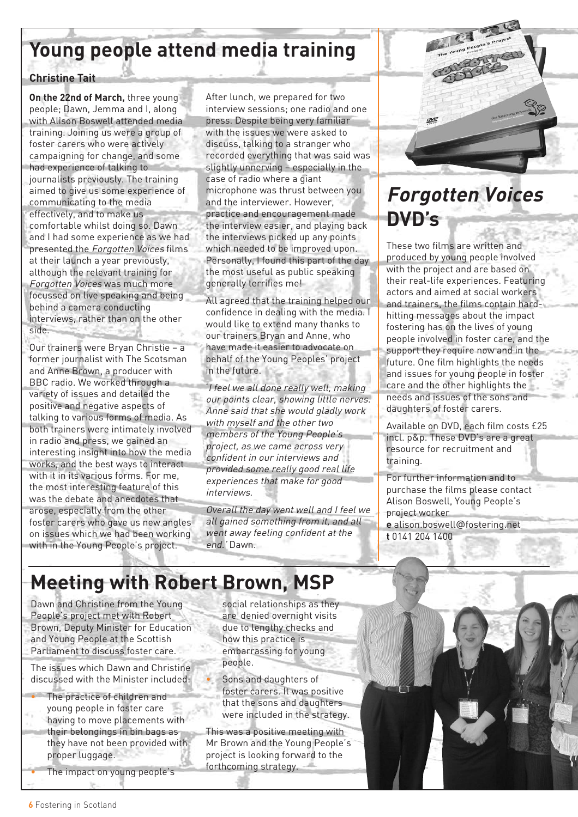# **Young people attend media training**

#### **Christine Tait**

**On the 22nd of March,** three young people; Dawn, Jemma and I, along with Alison Boswell attended media training. Joining us were a group of foster carers who were actively campaigning for change, and some had experience of talking to journalists previously. The training aimed to give us some experience of communicating to the media effectively, and to make us comfortable whilst doing so. Dawn and I had some experience as we had presented the Forgotten Voices films at their launch a year previously, although the relevant training for Forgotten Voices was much more focussed on live speaking and being behind a camera conducting interviews, rather than on the other side.

Our trainers were Bryan Christie – a former journalist with The Scotsman and Anne Brown, a producer with BBC radio. We worked through a variety of issues and detailed the positive and negative aspects of talking to various forms of media. As both trainers were intimately involved in radio and press, we gained an interesting insight into how the media works, and the best ways to interact with it in its various forms. For me, the most interesting feature of this was the debate and anecdotes that arose, especially from the other foster carers who gave us new angles on issues which we had been working with in the Young People's project.

After lunch, we prepared for two interview sessions; one radio and one press. Despite being very familiar with the issues we were asked to discuss, talking to a stranger who recorded everything that was said was slightly unnerving – especially in the case of radio where a giant microphone was thrust between you and the interviewer. However, practice and encouragement made the interview easier, and playing back the interviews picked up any points which needed to be improved upon. Personally, I found this part of the day the most useful as public speaking generally terrifies me!

All agreed that the training helped our confidence in dealing with the media. I would like to extend many thanks to our trainers Bryan and Anne, who have made it easier to advocate on behalf of the Young Peoples' project in the future.

'I feel we all done really well, making our points clear, showing little nerves. Anne said that she would gladly work with myself and the other two members of the Young People's project, as we came across very confident in our interviews and provided some really good real life experiences that make for good interviews.

Overall the day went well and I feel we all gained something from it, and all went away feeling confident at the end.' Dawn.



# **Forgotten Voices DVD's**

These two films are written and produced by young people involved with the project and are based on their real-life experiences. Featuring actors and aimed at social workers and trainers, the films contain hardhitting messages about the impact fostering has on the lives of young people involved in foster care, and the support they require now and in the future. One film highlights the needs and issues for young people in foster care and the other highlights the needs and issues of the sons and daughters of foster carers.

Available on DVD, each film costs £25 incl. p&p. These DVD's are a great resource for recruitment and training.

For further information and to purchase the films please contact Alison Boswell, Young People's project worker **e** alison.boswell@fostering.net **t** 0141 204 1400

# **Meeting with Robert Brown, MSP**

Dawn and Christine from the Young People's project met with Robert Brown, Deputy Minister for Education and Young People at the Scottish Parliament to discuss foster care.

The issues which Dawn and Christine discussed with the Minister included:

- The practice of children and
- young people in foster care having to move placements with their belongings in bin bags as
- they have not been provided with proper luggage.
	- The impact on young people's

social relationships as they are denied overnight visits due to lengthy checks and how this practice is embarrassing for young people.

Sons and daughters of foster carers. It was positive that the sons and daughters were included in the strategy.

This was a positive meeting with Mr Brown and the Young People's project is looking forward to the forthcoming strategy.

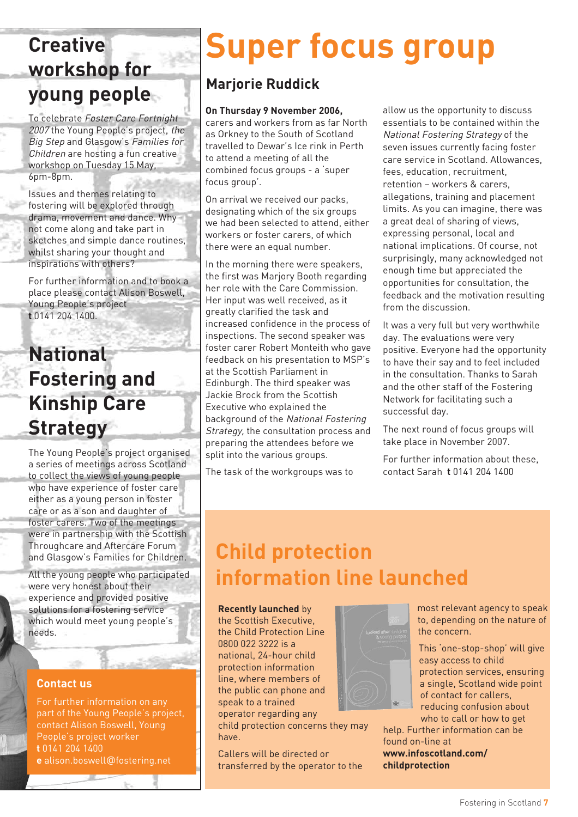# **Creative workshop for young people**

To celebrate Foster Care Fortnight 2007 the Young People's project, the Big Step and Glasgow's Families for Children are hosting a fun creative workshop on Tuesday 15 May, 6pm-8pm.

Issues and themes relating to fostering will be explored through drama, movement and dance. Why not come along and take part in sketches and simple dance routines, whilst sharing your thought and inspirations with others?

For further information and to book a place please contact Alison Boswell, Young People's project **t** 0141 204 1400.

# **National Fostering and Kinship Care Strategy**

The Young People's project organised a series of meetings across Scotland to collect the views of young people who have experience of foster care either as a young person in foster care or as a son and daughter of foster carers. Two of the meetings were in partnership with the Scottish Throughcare and Aftercare Forum and Glasgow's Families for Children.

All the young people who participated were very honest about their experience and provided positive solutions for a fostering service which would meet young people's needs.

#### **Contact us**

For further information on any part of the Young People's project, contact Alison Boswell, Young People's project worker **t** 0141 204 1400 **e** alison.boswell@fostering.net

# **Super focus group**

### **Marjorie Ruddick**

#### **On Thursday 9 November 2006,**

carers and workers from as far North as Orkney to the South of Scotland travelled to Dewar's Ice rink in Perth to attend a meeting of all the combined focus groups - a 'super focus group'.

On arrival we received our packs, designating which of the six groups we had been selected to attend, either workers or foster carers, of which there were an equal number.

In the morning there were speakers, the first was Marjory Booth regarding her role with the Care Commission. Her input was well received, as it greatly clarified the task and increased confidence in the process of inspections. The second speaker was foster carer Robert Monteith who gave feedback on his presentation to MSP's at the Scottish Parliament in Edinburgh. The third speaker was Jackie Brock from the Scottish Executive who explained the background of the National Fostering Strategy, the consultation process and preparing the attendees before we split into the various groups.

The task of the workgroups was to

allow us the opportunity to discuss essentials to be contained within the National Fostering Strategy of the seven issues currently facing foster care service in Scotland. Allowances, fees, education, recruitment, retention – workers & carers, allegations, training and placement limits. As you can imagine, there was a great deal of sharing of views, expressing personal, local and national implications. Of course, not surprisingly, many acknowledged not enough time but appreciated the opportunities for consultation, the feedback and the motivation resulting from the discussion.

It was a very full but very worthwhile day. The evaluations were very positive. Everyone had the opportunity to have their say and to feel included in the consultation. Thanks to Sarah and the other staff of the Fostering Network for facilitating such a successful day.

The next round of focus groups will take place in November 2007.

For further information about these, contact Sarah **t** 0141 204 1400

# **Child protection information line launched**

#### **Recently launched** by

the Scottish Executive, the Child Protection Line 0800 022 3222 is a national, 24-hour child protection information line, where members of the public can phone and speak to a trained operator regarding any

child protection concerns they may have.

Callers will be directed or transferred by the operator to the



most relevant agency to speak to, depending on the nature of the concern.

This 'one-stop-shop' will give easy access to child protection services, ensuring a single, Scotland wide point of contact for callers, reducing confusion about who to call or how to get

help. Further information can be found on-line at **www.infoscotland.com/ childprotection**